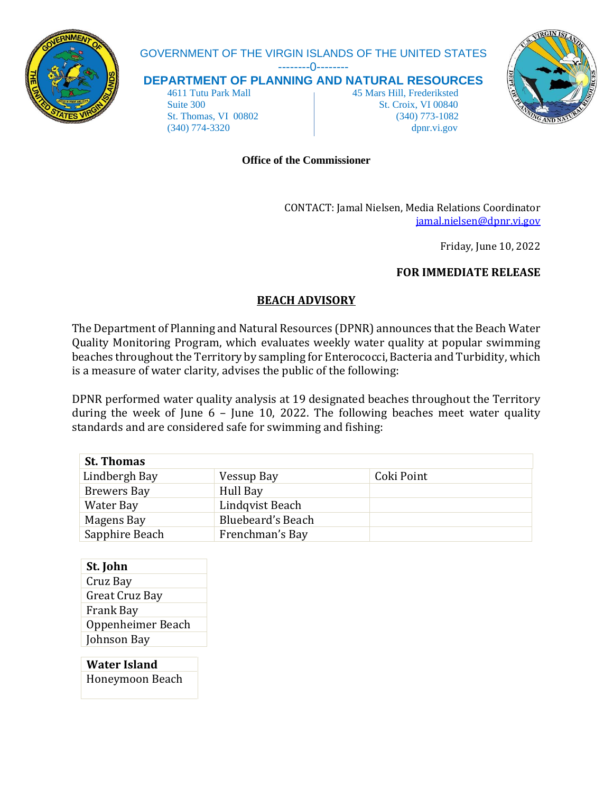

## GOVERNMENT OF THE VIRGIN ISLANDS OF THE UNITED STATES

--------0--------

**DEPARTMENT OF PLANNING AND NATURAL RESOURCES**

 4611 Tutu Park Mall 45 Mars Hill, Frederiksted Suite 300 St. Croix, VI 00840 St. Thomas, VI 00802 (340) 773-1082 (340) 774-3320 dpnr.vi.gov



**Office of the Commissioner**

CONTACT: Jamal Nielsen, Media Relations Coordinator [jamal.nielsen@dpnr.vi.gov](mailto:jamal.nielsen@dpnr.vi.gov)

Friday, June 10, 2022

## **FOR IMMEDIATE RELEASE**

## **BEACH ADVISORY**

The Department of Planning and Natural Resources (DPNR) announces that the Beach Water Quality Monitoring Program, which evaluates weekly water quality at popular swimming beaches throughout the Territory by sampling for Enterococci, Bacteria and Turbidity, which is a measure of water clarity, advises the public of the following:

DPNR performed water quality analysis at 19 designated beaches throughout the Territory during the week of June  $6$  – June 10, 2022. The following beaches meet water quality standards and are considered safe for swimming and fishing:

| <b>St. Thomas</b>  |                   |            |
|--------------------|-------------------|------------|
| Lindbergh Bay      | Vessup Bay        | Coki Point |
| <b>Brewers Bay</b> | Hull Bay          |            |
| Water Bay          | Lindqvist Beach   |            |
| Magens Bay         | Bluebeard's Beach |            |
| Sapphire Beach     | Frenchman's Bay   |            |

| St. John          |  |
|-------------------|--|
| Cruz Bay          |  |
| Great Cruz Bay    |  |
| Frank Bay         |  |
| Oppenheimer Beach |  |
| Johnson Bay       |  |
|                   |  |

**Water Island**

Honeymoon Beach